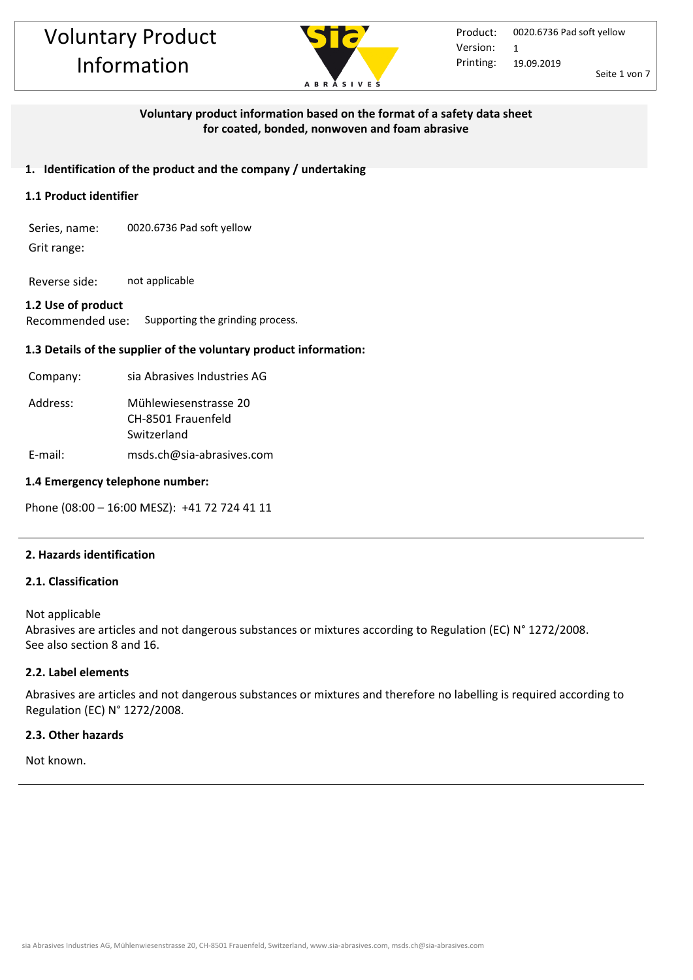

## **Voluntary product information based on the format of a safety data sheet for coated, bonded, nonwoven and foam abrasive**

## **1. Identification of the product and the company / undertaking**

## **1.1 Product identifier**

Series, name: 0020.6736 Pad soft yellow Grit range:

Reverse side: not applicable

## **1.2 Use of product**

Recommended use: Supporting the grinding process.

## **1.3 Details of the supplier of the voluntary product information:**

| Company: | sia Abrasives Industries AG                                |
|----------|------------------------------------------------------------|
| Address: | Mühlewiesenstrasse 20<br>CH-8501 Frauenfeld<br>Switzerland |
| E-mail:  | msds.ch@sia-abrasives.com                                  |

#### **1.4 Emergency telephone number:**

Phone (08:00 – 16:00 MESZ): +41 72 724 41 11

## **2. Hazards identification**

## **2.1. Classification**

Not applicable Abrasives are articles and not dangerous substances or mixtures according to Regulation (EC) N° 1272/2008. See also section 8 and 16.

## **2.2. Label elements**

Abrasives are articles and not dangerous substances or mixtures and therefore no labelling is required according to Regulation (EC) N° 1272/2008.

#### **2.3. Other hazards**

Not known.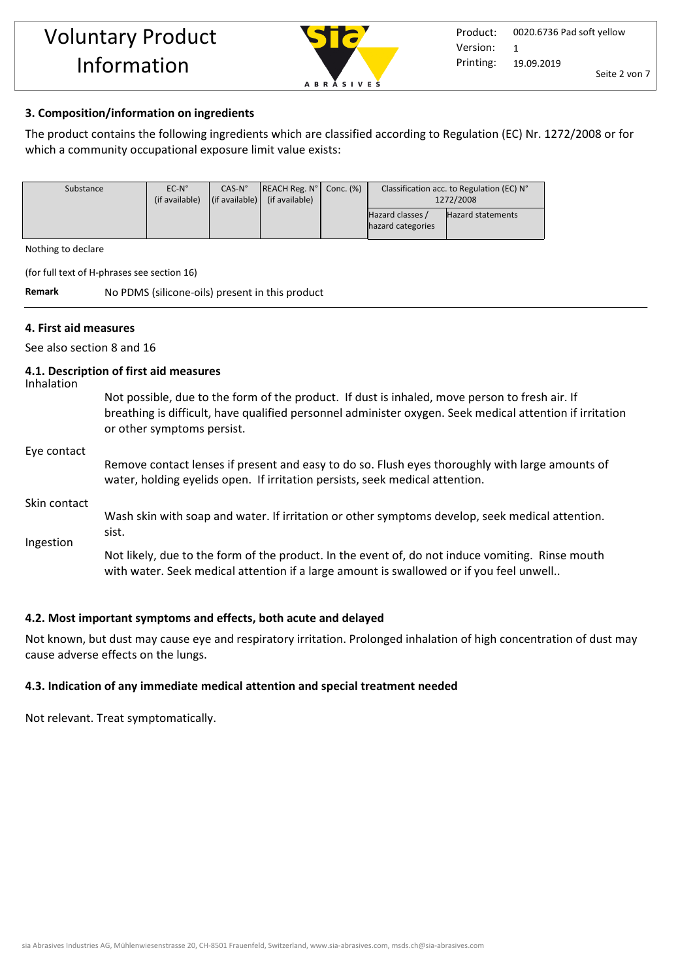

## **3. Composition/information on ingredients**

The product contains the following ingredients which are classified according to Regulation (EC) Nr. 1272/2008 or for which a community occupational exposure limit value exists:

| Substance | $EC-N^\circ$   | $CAS-No$                       | REACH Reg. N <sup>o</sup>   Conc. (%) | Classification acc. to Regulation (EC) N° |                          |
|-----------|----------------|--------------------------------|---------------------------------------|-------------------------------------------|--------------------------|
|           | (if available) | $\vert$ (if available) $\vert$ | (if available)                        | 1272/2008                                 |                          |
|           |                |                                |                                       | Hazard classes /<br>hazard categories     | <b>Hazard statements</b> |
|           |                |                                |                                       |                                           |                          |

Nothing to declare

(for full text of H-phrases see section 16)

**Remark** No PDMS (silicone-oils) present in this product

## **4. First aid measures**

See also section 8 and 16

#### **4.1. Description of first aid measures**

Inhalation

Not possible, due to the form of the product. If dust is inhaled, move person to fresh air. If breathing is difficult, have qualified personnel administer oxygen. Seek medical attention if irritation or other symptoms persist.

#### Eye contact

Remove contact lenses if present and easy to do so. Flush eyes thoroughly with large amounts of water, holding eyelids open. If irritation persists, seek medical attention.

#### Skin contact

Wash skin with soap and water. If irritation or other symptoms develop, seek medical attention. sist.

Ingestion

Not likely, due to the form of the product. In the event of, do not induce vomiting. Rinse mouth with water. Seek medical attention if a large amount is swallowed or if you feel unwell..

## **4.2. Most important symptoms and effects, both acute and delayed**

Not known, but dust may cause eye and respiratory irritation. Prolonged inhalation of high concentration of dust may cause adverse effects on the lungs.

## **4.3. Indication of any immediate medical attention and special treatment needed**

Not relevant. Treat symptomatically.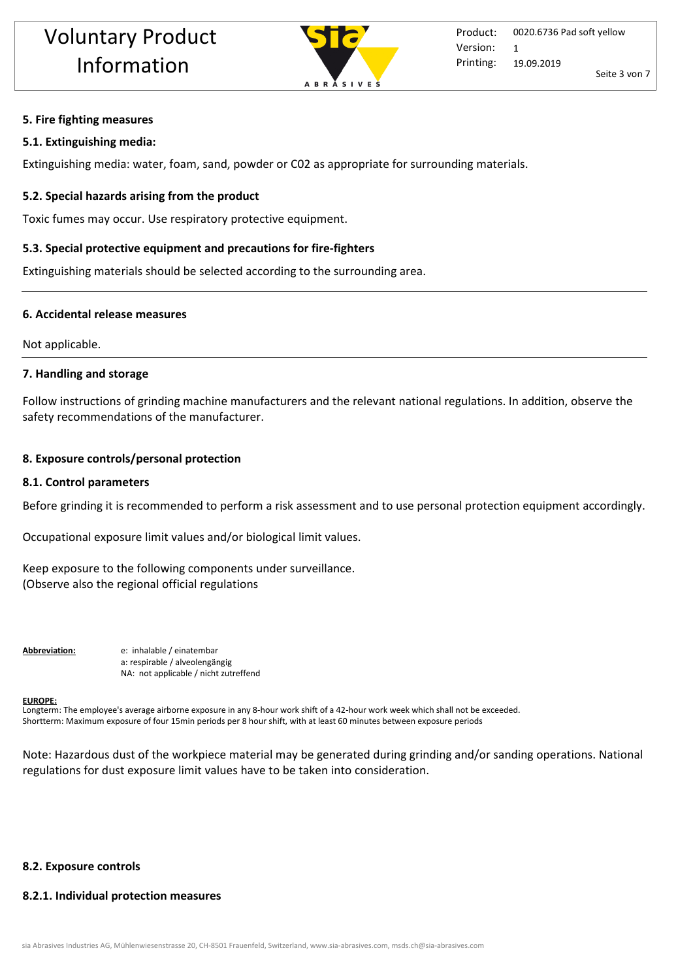

#### **5. Fire fighting measures**

#### **5.1. Extinguishing media:**

Extinguishing media: water, foam, sand, powder or C02 as appropriate for surrounding materials.

#### **5.2. Special hazards arising from the product**

Toxic fumes may occur. Use respiratory protective equipment.

#### **5.3. Special protective equipment and precautions for fire-fighters**

Extinguishing materials should be selected according to the surrounding area.

#### **6. Accidental release measures**

Not applicable.

#### **7. Handling and storage**

Follow instructions of grinding machine manufacturers and the relevant national regulations. In addition, observe the safety recommendations of the manufacturer.

#### **8. Exposure controls/personal protection**

#### **8.1. Control parameters**

Before grinding it is recommended to perform a risk assessment and to use personal protection equipment accordingly.

Occupational exposure limit values and/or biological limit values.

Keep exposure to the following components under surveillance. (Observe also the regional official regulations

**Abbreviation:** e: inhalable / einatembar a: respirable / alveolengängig NA: not applicable / nicht zutreffend

#### **EUROPE:**

Longterm: The employee's average airborne exposure in any 8-hour work shift of a 42-hour work week which shall not be exceeded. Shortterm: Maximum exposure of four 15min periods per 8 hour shift, with at least 60 minutes between exposure periods

Note: Hazardous dust of the workpiece material may be generated during grinding and/or sanding operations. National regulations for dust exposure limit values have to be taken into consideration.

## **8.2. Exposure controls**

#### **8.2.1. Individual protection measures**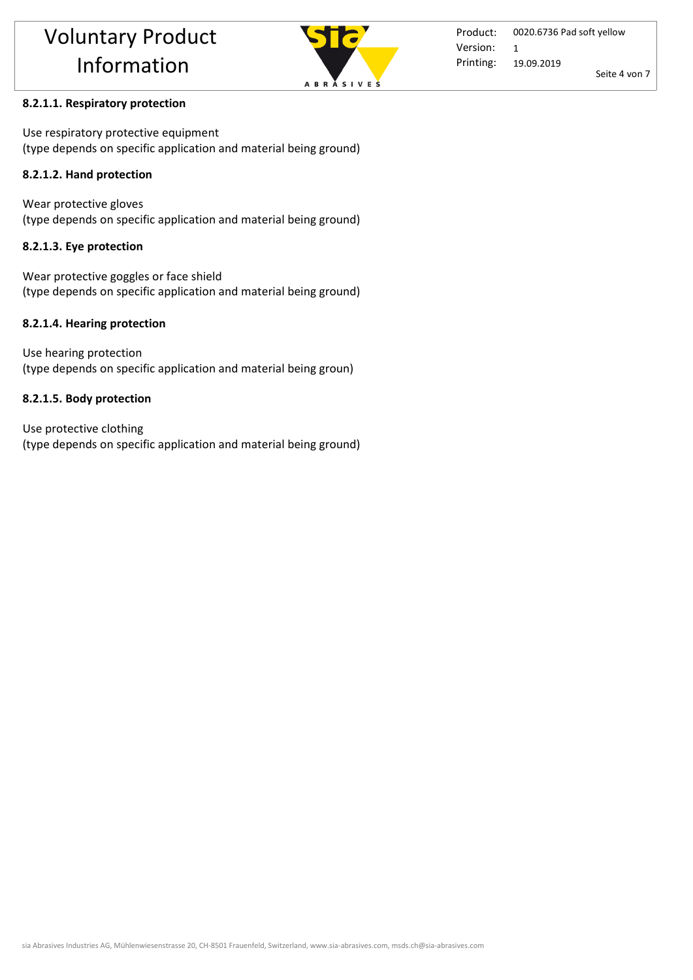

## **8.2.1.1. Respiratory protection**

Use respiratory protective equipment (type depends on specific application and material being ground)

## **8.2.1.2. Hand protection**

Wear protective gloves (type depends on specific application and material being ground)

## **8.2.1.3. Eye protection**

Wear protective goggles or face shield (type depends on specific application and material being ground)

## **8.2.1.4. Hearing protection**

Use hearing protection (type depends on specific application and material being groun)

## **8.2.1.5. Body protection**

Use protective clothing (type depends on specific application and material being ground)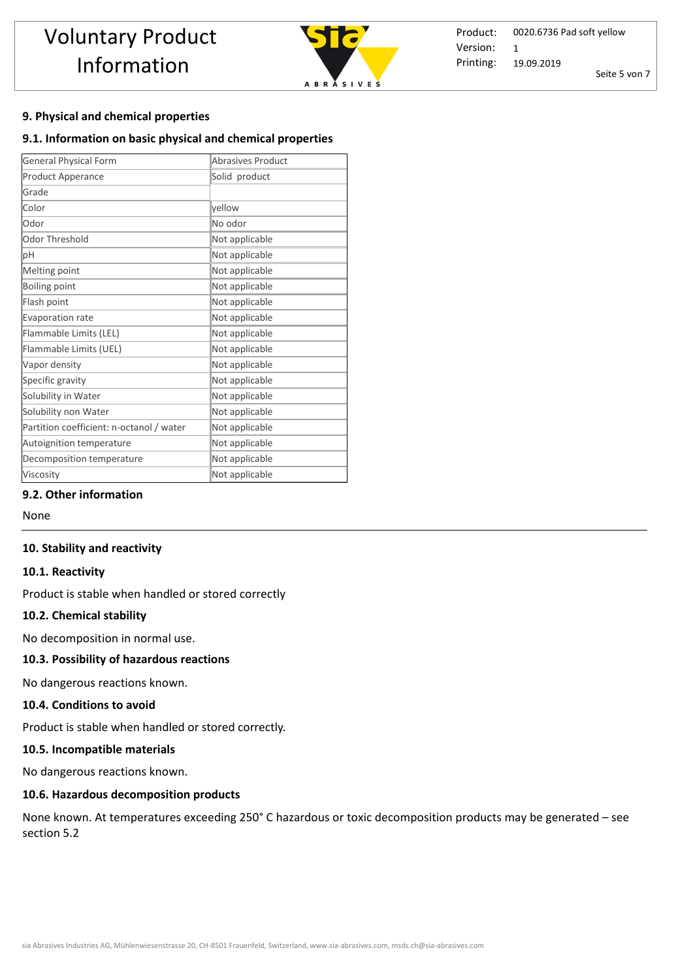

Product: Printing: 0020.6736 Pad soft yellow 19.09.2019 Seite 5 von 7 Version: 1

## **9. Physical and chemical properties**

#### **9.1. Information on basic physical and chemical properties**

| <b>General Physical Form</b>             | Abrasives Product |  |  |
|------------------------------------------|-------------------|--|--|
| Product Apperance                        | Solid product     |  |  |
| Grade                                    |                   |  |  |
| Color                                    | yellow            |  |  |
| Odor                                     | No odor           |  |  |
| Odor Threshold                           | Not applicable    |  |  |
| pH                                       | Not applicable    |  |  |
| Melting point                            | Not applicable    |  |  |
| Boiling point                            | Not applicable    |  |  |
| Flash point                              | Not applicable    |  |  |
| Evaporation rate                         | Not applicable    |  |  |
| Flammable Limits (LEL)                   | Not applicable    |  |  |
| Flammable Limits (UEL)                   | Not applicable    |  |  |
| Vapor density                            | Not applicable    |  |  |
| Specific gravity                         | Not applicable    |  |  |
| Solubility in Water                      | Not applicable    |  |  |
| Solubility non Water                     | Not applicable    |  |  |
| Partition coefficient: n-octanol / water | Not applicable    |  |  |
| Autoignition temperature                 | Not applicable    |  |  |
| Decomposition temperature                | Not applicable    |  |  |
| Viscosity                                | Not applicable    |  |  |

## **9.2. Other information**

None

#### **10. Stability and reactivity**

#### **10.1. Reactivity**

Product is stable when handled or stored correctly

#### **10.2. Chemical stability**

No decomposition in normal use.

## **10.3. Possibility of hazardous reactions**

No dangerous reactions known.

#### **10.4. Conditions to avoid**

Product is stable when handled or stored correctly. 

#### **10.5. Incompatible materials**

No dangerous reactions known.

#### **10.6. Hazardous decomposition products**

None known. At temperatures exceeding 250° C hazardous or toxic decomposition products may be generated – see section 5.2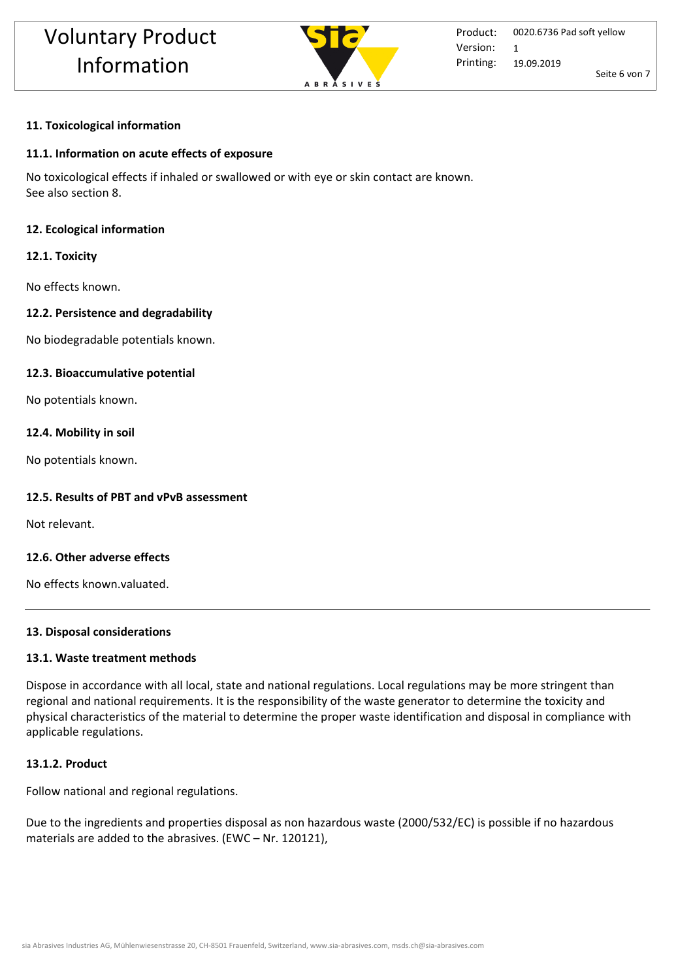

## **11. Toxicological information**

#### **11.1. Information on acute effects of exposure**

No toxicological effects if inhaled or swallowed or with eye or skin contact are known. See also section 8.

#### **12. Ecological information**

#### **12.1. Toxicity**

No effects known.

#### **12.2. Persistence and degradability**

No biodegradable potentials known.

#### **12.3. Bioaccumulative potential**

No potentials known.

#### **12.4. Mobility in soil**

No potentials known.

#### **12.5. Results of PBT and vPvB assessment**

Not relevant.

## **12.6. Other adverse effects**

No effects known.valuated.

#### **13. Disposal considerations**

#### **13.1. Waste treatment methods**

Dispose in accordance with all local, state and national regulations. Local regulations may be more stringent than regional and national requirements. It is the responsibility of the waste generator to determine the toxicity and physical characteristics of the material to determine the proper waste identification and disposal in compliance with applicable regulations.

#### **13.1.2. Product**

Follow national and regional regulations.

Due to the ingredients and properties disposal as non hazardous waste (2000/532/EC) is possible if no hazardous materials are added to the abrasives. (EWC – Nr. 120121),